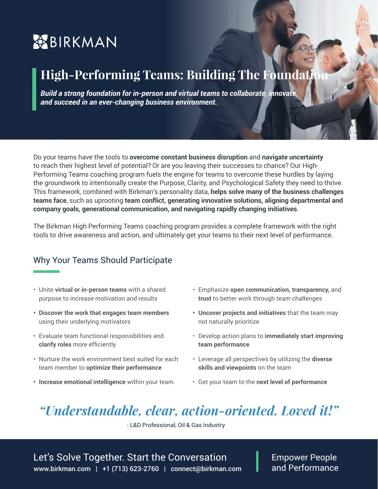# **BIRKMAN**

# **High-Performing Teams: Building The Foundation**

**Build a strong foundation for in-person and virtual teams to collaborate, innovate,** *and succeed in an ever-changing business environment.*

Do your teams have the tools to **overcome constant business disruption** and **navigate uncertainty**  to reach their highest level of potential? Or are you leaving their successes to chance? Our High-Performing Teams coaching program fuels the engine for teams to overcome these hurdles by laying the groundwork to intentionally create the Purpose, Clarity, and Psychological Safety they need to thrive. This framework, combined with Birkman's personality data, **helps solve many of the business challenges teams face**, such as uprooting **team conflict, generating innovative solutions, aligning departmental and company goals, generational communication, and navigating rapidly changing initiatives**.

The Birkman High Performing Teams coaching program provides a complete framework with the right tools to drive awareness and action, and ultimately get your teams to their next level of performance.

### Why Your Teams Should Participate

- Unite **virtual or in-person teams** with a shared purpose to increase motivation and results
- **• Discover the work that engages team members** using their underlying motivators
- Evaluate team functional responsibilities and **clarify roles** more efficiently
- Nurture the work environment best suited for each team member to **optimize their performance**
- **• Increase emotional intelligence** within your team
- Emphasize **open communication, transparency,** and **trust** to better work through team challenges
- **• Uncover projects and initiatives** that the team may not naturally prioritize
- Develop action plans to **immediately start improving team performance**
- Leverage all perspectives by utilizing the **diverse skills and viewpoints** on the team
- Get your team to the **next level of performance**

## *"Understandable, clear, action-oriented. Loved it!"*

- L&D Professional, Oil & Gas Industry

www.birkman.com | +1 (713) 623-2760 | connect@birkman.com Let's Solve Together. Start the Conversation

Empower People and Performance